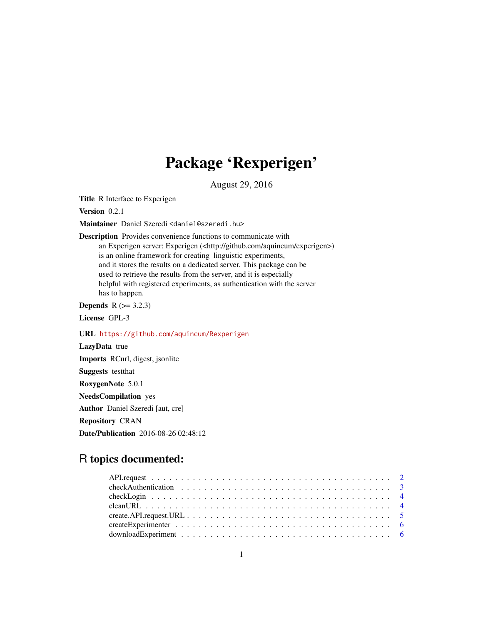## Package 'Rexperigen'

August 29, 2016

Title R Interface to Experigen

Version 0.2.1

Maintainer Daniel Szeredi <daniel@szeredi.hu>

Description Provides convenience functions to communicate with an Experigen server: Experigen (<http://github.com/aquincum/experigen>) is an online framework for creating linguistic experiments, and it stores the results on a dedicated server. This package can be used to retrieve the results from the server, and it is especially helpful with registered experiments, as authentication with the server has to happen.

**Depends**  $R$  ( $>= 3.2.3$ )

License GPL-3

URL <https://github.com/aquincum/Rexperigen>

LazyData true Imports RCurl, digest, jsonlite Suggests testthat RoxygenNote 5.0.1 NeedsCompilation yes Author Daniel Szeredi [aut, cre] Repository CRAN Date/Publication 2016-08-26 02:48:12

## R topics documented: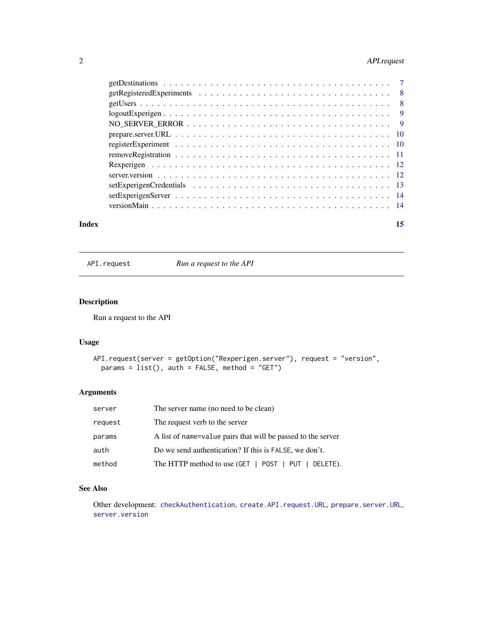## <span id="page-1-0"></span>2 API.request

#### **Index** [15](#page-14-0)

<span id="page-1-1"></span>API.request *Run a request to the API*

## Description

Run a request to the API

## Usage

```
API.request(server = getOption("Rexperigen.server"), request = "version",
 params = list(), auth = FALSE, method = "GET")
```
## Arguments

| server  | The server name (no need to be clean)                        |
|---------|--------------------------------------------------------------|
| request | The request verb to the server                               |
| params  | A list of name=value pairs that will be passed to the server |
| auth    | Do we send authentication? If this is FALSE, we don't.       |
| method  | The HTTP method to use (GET   POST   PUT   DELETE).          |

## See Also

Other development: [checkAuthentication](#page-2-1), [create.API.request.URL](#page-4-1), [prepare.server.URL](#page-9-1), [server.version](#page-11-1)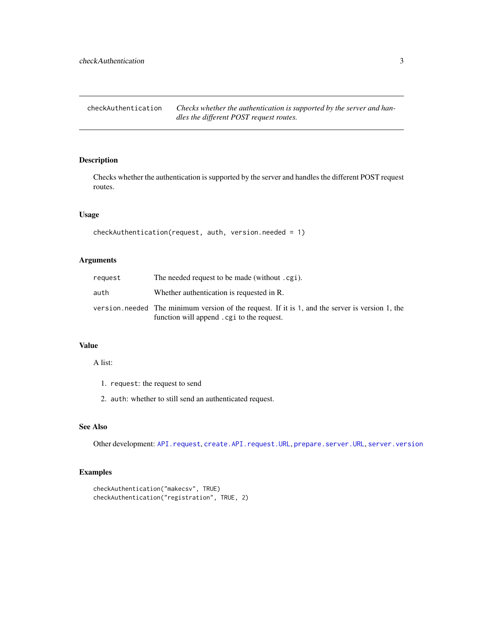<span id="page-2-1"></span><span id="page-2-0"></span>checkAuthentication *Checks whether the authentication is supported by the server and handles the different POST request routes.*

## Description

Checks whether the authentication is supported by the server and handles the different POST request routes.

#### Usage

```
checkAuthentication(request, auth, version.needed = 1)
```
## Arguments

| request | The needed request to be made (without .cgi).                                                                                                  |
|---------|------------------------------------------------------------------------------------------------------------------------------------------------|
| auth    | Whether authentication is requested in R.                                                                                                      |
|         | version. needed The minimum version of the request. If it is 1, and the server is version 1, the<br>function will append . cgi to the request. |

#### Value

#### A list:

- 1. request: the request to send
- 2. auth: whether to still send an authenticated request.

#### See Also

Other development: [API.request](#page-1-1), [create.API.request.URL](#page-4-1), [prepare.server.URL](#page-9-1), [server.version](#page-11-1)

## Examples

```
checkAuthentication("makecsv", TRUE)
checkAuthentication("registration", TRUE, 2)
```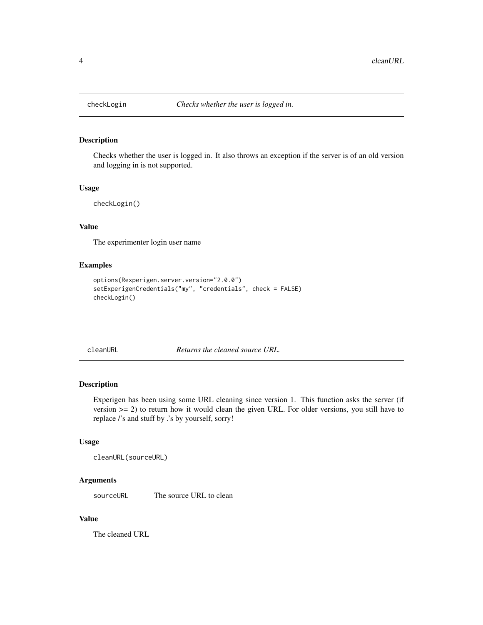<span id="page-3-0"></span>

#### Description

Checks whether the user is logged in. It also throws an exception if the server is of an old version and logging in is not supported.

#### Usage

checkLogin()

## Value

The experimenter login user name

## Examples

```
options(Rexperigen.server.version="2.0.0")
setExperigenCredentials("my", "credentials", check = FALSE)
checkLogin()
```
cleanURL *Returns the cleaned source URL.*

## Description

Experigen has been using some URL cleaning since version 1. This function asks the server (if version  $>= 2$ ) to return how it would clean the given URL. For older versions, you still have to replace /'s and stuff by .'s by yourself, sorry!

#### Usage

```
cleanURL(sourceURL)
```
#### Arguments

sourceURL The source URL to clean

#### Value

The cleaned URL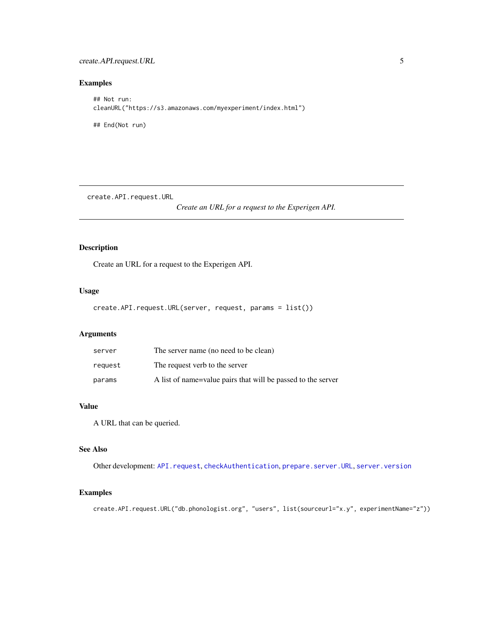<span id="page-4-0"></span>create.API.request.URL 5

## Examples

```
## Not run:
cleanURL("https://s3.amazonaws.com/myexperiment/index.html")
## End(Not run)
```
<span id="page-4-1"></span>create.API.request.URL

*Create an URL for a request to the Experigen API.*

#### Description

Create an URL for a request to the Experigen API.

## Usage

```
create.API.request.URL(server, request, params = list())
```
## Arguments

| server  | The server name (no need to be clean)                        |
|---------|--------------------------------------------------------------|
| request | The request verb to the server                               |
| params  | A list of name=value pairs that will be passed to the server |

#### Value

A URL that can be queried.

#### See Also

Other development: [API.request](#page-1-1), [checkAuthentication](#page-2-1), [prepare.server.URL](#page-9-1), [server.version](#page-11-1)

## Examples

create.API.request.URL("db.phonologist.org", "users", list(sourceurl="x.y", experimentName="z"))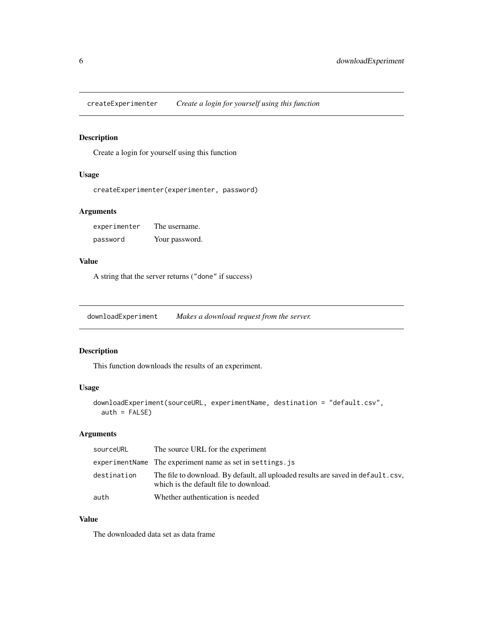<span id="page-5-0"></span>createExperimenter *Create a login for yourself using this function*

## Description

Create a login for yourself using this function

## Usage

```
createExperimenter(experimenter, password)
```
#### Arguments

| experimenter | The username.  |
|--------------|----------------|
| password     | Your password. |

## Value

A string that the server returns ("done" if success)

<span id="page-5-1"></span>downloadExperiment *Makes a download request from the server.*

## Description

This function downloads the results of an experiment.

## Usage

```
downloadExperiment(sourceURL, experimentName, destination = "default.csv",
  auth = FALSE)
```
## Arguments

| sourceURL   | The source URL for the experiment                                                                                          |
|-------------|----------------------------------------------------------------------------------------------------------------------------|
|             | experiment Name The experiment name as set in settings, is                                                                 |
| destination | The file to download. By default, all uploaded results are saved in default.csv.<br>which is the default file to download. |
| auth        | Whether authentication is needed                                                                                           |

## Value

The downloaded data set as data frame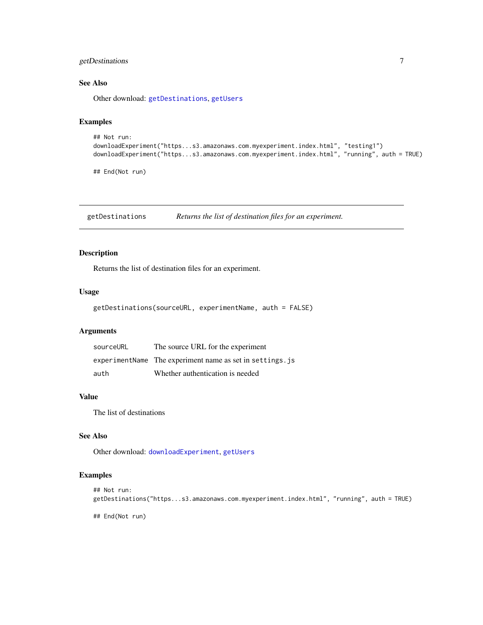## <span id="page-6-0"></span>getDestinations 7

#### See Also

Other download: [getDestinations](#page-6-1), [getUsers](#page-7-1)

## Examples

```
## Not run:
downloadExperiment("https...s3.amazonaws.com.myexperiment.index.html", "testing1")
downloadExperiment("https...s3.amazonaws.com.myexperiment.index.html", "running", auth = TRUE)
```
## End(Not run)

<span id="page-6-1"></span>getDestinations *Returns the list of destination files for an experiment.*

## Description

Returns the list of destination files for an experiment.

#### Usage

getDestinations(sourceURL, experimentName, auth = FALSE)

#### Arguments

| sourceURL | The source URL for the experiment                        |
|-----------|----------------------------------------------------------|
|           | experimentName The experiment name as set in settings.js |
| auth      | Whether authentication is needed                         |

#### Value

The list of destinations

## See Also

Other download: [downloadExperiment](#page-5-1), [getUsers](#page-7-1)

#### Examples

```
## Not run:
getDestinations("https...s3.amazonaws.com.myexperiment.index.html", "running", auth = TRUE)
## End(Not run)
```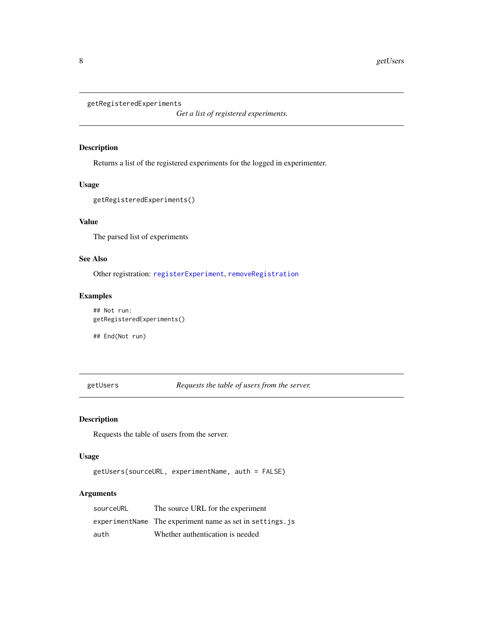```
getRegisteredExperiments
```
*Get a list of registered experiments.*

#### Description

Returns a list of the registered experiments for the logged in experimenter.

#### Usage

getRegisteredExperiments()

## Value

The parsed list of experiments

## See Also

Other registration: [registerExperiment](#page-9-2), [removeRegistration](#page-10-1)

#### Examples

## Not run: getRegisteredExperiments() ## End(Not run)

<span id="page-7-1"></span>getUsers *Requests the table of users from the server.*

## Description

Requests the table of users from the server.

## Usage

getUsers(sourceURL, experimentName, auth = FALSE)

#### Arguments

| sourceURL | The source URL for the experiment                         |
|-----------|-----------------------------------------------------------|
|           | experimentName The experiment name as set in settings. is |
| auth      | Whether authentication is needed                          |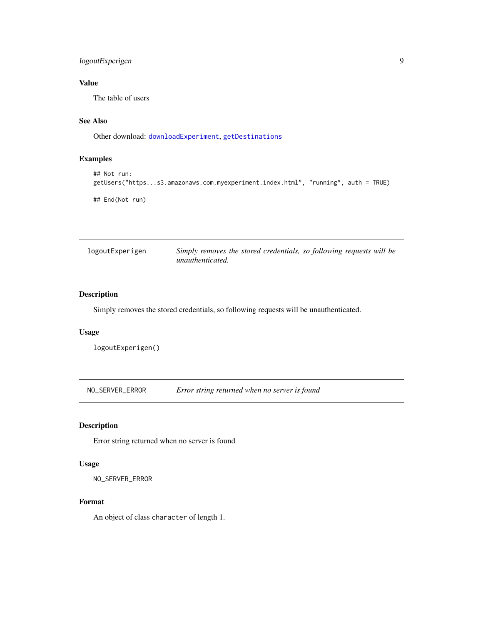## <span id="page-8-0"></span>logoutExperigen 9

## Value

The table of users

## See Also

Other download: [downloadExperiment](#page-5-1), [getDestinations](#page-6-1)

## Examples

```
## Not run:
getUsers("https...s3.amazonaws.com.myexperiment.index.html", "running", auth = TRUE)
## End(Not run)
```

| logoutExperigen | Simply removes the stored credentials, so following requests will be |
|-----------------|----------------------------------------------------------------------|
|                 | unauthenticated.                                                     |

## Description

Simply removes the stored credentials, so following requests will be unauthenticated.

#### Usage

```
logoutExperigen()
```
NO\_SERVER\_ERROR *Error string returned when no server is found*

## Description

Error string returned when no server is found

#### Usage

NO\_SERVER\_ERROR

#### Format

An object of class character of length 1.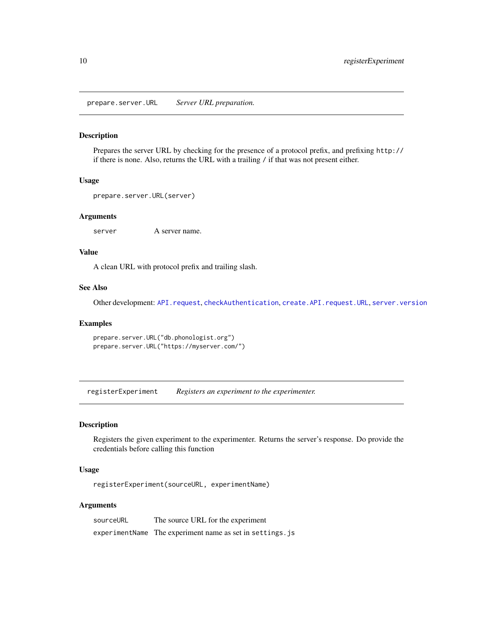<span id="page-9-1"></span><span id="page-9-0"></span>prepare.server.URL *Server URL preparation.*

#### Description

Prepares the server URL by checking for the presence of a protocol prefix, and prefixing http:// if there is none. Also, returns the URL with a trailing / if that was not present either.

#### Usage

```
prepare.server.URL(server)
```
#### Arguments

server A server name.

#### Value

A clean URL with protocol prefix and trailing slash.

#### See Also

Other development: [API.request](#page-1-1), [checkAuthentication](#page-2-1), [create.API.request.URL](#page-4-1), [server.version](#page-11-1)

## Examples

prepare.server.URL("db.phonologist.org") prepare.server.URL("https://myserver.com/")

<span id="page-9-2"></span>registerExperiment *Registers an experiment to the experimenter.*

## Description

Registers the given experiment to the experimenter. Returns the server's response. Do provide the credentials before calling this function

#### Usage

registerExperiment(sourceURL, experimentName)

#### Arguments

| sourceURL | The source URL for the experiment                        |
|-----------|----------------------------------------------------------|
|           | experimentName The experiment name as set in settings.js |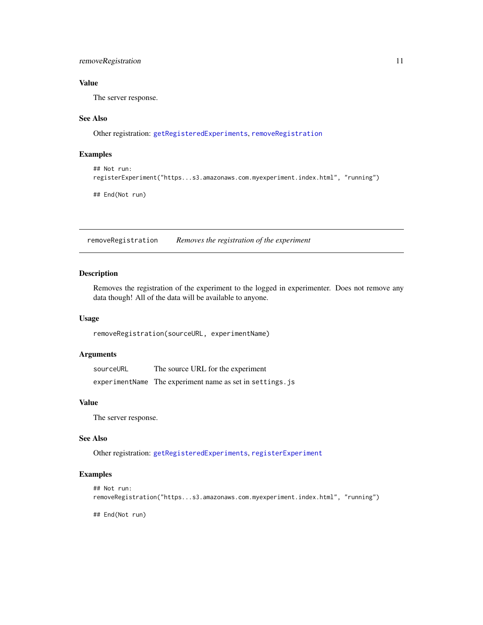## <span id="page-10-0"></span>removeRegistration 11

## Value

The server response.

#### See Also

Other registration: [getRegisteredExperiments](#page-7-2), [removeRegistration](#page-10-1)

#### Examples

```
## Not run:
registerExperiment("https...s3.amazonaws.com.myexperiment.index.html", "running")
```
## End(Not run)

<span id="page-10-1"></span>removeRegistration *Removes the registration of the experiment*

## Description

Removes the registration of the experiment to the logged in experimenter. Does not remove any data though! All of the data will be available to anyone.

#### Usage

```
removeRegistration(sourceURL, experimentName)
```
#### Arguments

| sourceURL | The source URL for the experiment                        |
|-----------|----------------------------------------------------------|
|           | experimentName The experiment name as set in settings.js |

#### Value

The server response.

## See Also

Other registration: [getRegisteredExperiments](#page-7-2), [registerExperiment](#page-9-2)

#### Examples

```
## Not run:
removeRegistration("https...s3.amazonaws.com.myexperiment.index.html", "running")
```
## End(Not run)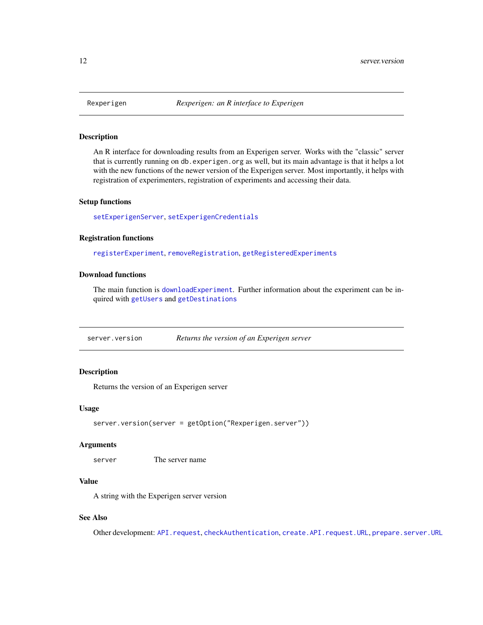#### Description

An R interface for downloading results from an Experigen server. Works with the "classic" server that is currently running on db.experigen.org as well, but its main advantage is that it helps a lot with the new functions of the newer version of the Experigen server. Most importantly, it helps with registration of experimenters, registration of experiments and accessing their data.

#### Setup functions

[setExperigenServer](#page-13-1), [setExperigenCredentials](#page-12-1)

#### Registration functions

[registerExperiment](#page-9-2), [removeRegistration](#page-10-1), [getRegisteredExperiments](#page-7-2)

## Download functions

The main function is [downloadExperiment](#page-5-1). Further information about the experiment can be inquired with [getUsers](#page-7-1) and [getDestinations](#page-6-1)

<span id="page-11-1"></span>server.version *Returns the version of an Experigen server*

## Description

Returns the version of an Experigen server

#### Usage

```
server.version(server = getOption("Rexperigen.server"))
```
#### Arguments

server The server name

#### Value

A string with the Experigen server version

#### See Also

Other development: [API.request](#page-1-1), [checkAuthentication](#page-2-1), [create.API.request.URL](#page-4-1), [prepare.server.URL](#page-9-1)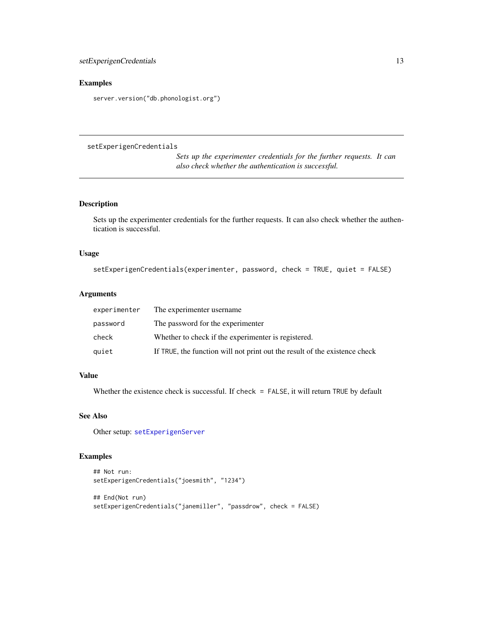## <span id="page-12-0"></span>Examples

server.version("db.phonologist.org")

<span id="page-12-1"></span>setExperigenCredentials

*Sets up the experimenter credentials for the further requests. It can also check whether the authentication is successful.*

## Description

Sets up the experimenter credentials for the further requests. It can also check whether the authentication is successful.

#### Usage

```
setExperigenCredentials(experimenter, password, check = TRUE, quiet = FALSE)
```
#### Arguments

| experimenter | The experimenter username                                                  |
|--------------|----------------------------------------------------------------------------|
| password     | The password for the experimenter                                          |
| check        | Whether to check if the experimenter is registered.                        |
| quiet        | If TRUE, the function will not print out the result of the existence check |

## Value

Whether the existence check is successful. If check = FALSE, it will return TRUE by default

#### See Also

Other setup: [setExperigenServer](#page-13-1)

## Examples

```
## Not run:
setExperigenCredentials("joesmith", "1234")
## End(Not run)
setExperigenCredentials("janemiller", "passdrow", check = FALSE)
```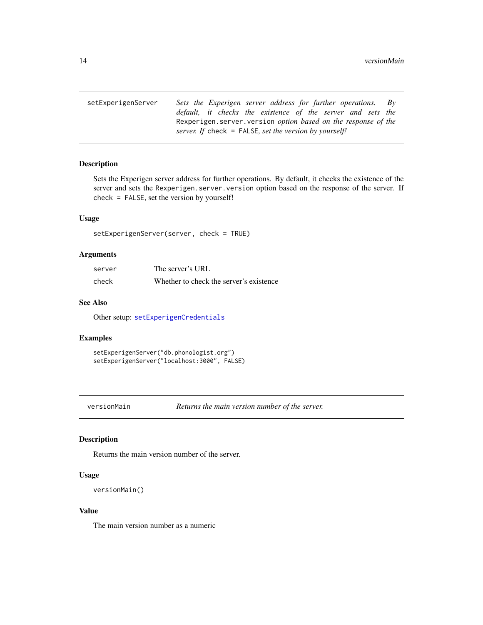<span id="page-13-1"></span><span id="page-13-0"></span>setExperigenServer *Sets the Experigen server address for further operations. By default, it checks the existence of the server and sets the* Rexperigen.server.version *option based on the response of the server. If* check = FALSE*, set the version by yourself!*

#### Description

Sets the Experigen server address for further operations. By default, it checks the existence of the server and sets the Rexperigen.server.version option based on the response of the server. If check = FALSE, set the version by yourself!

#### Usage

setExperigenServer(server, check = TRUE)

#### Arguments

| server | The server's URL                        |
|--------|-----------------------------------------|
| check  | Whether to check the server's existence |

#### See Also

Other setup: [setExperigenCredentials](#page-12-1)

#### Examples

setExperigenServer("db.phonologist.org") setExperigenServer("localhost:3000", FALSE)

versionMain *Returns the main version number of the server.*

#### Description

Returns the main version number of the server.

#### Usage

```
versionMain()
```
#### Value

The main version number as a numeric